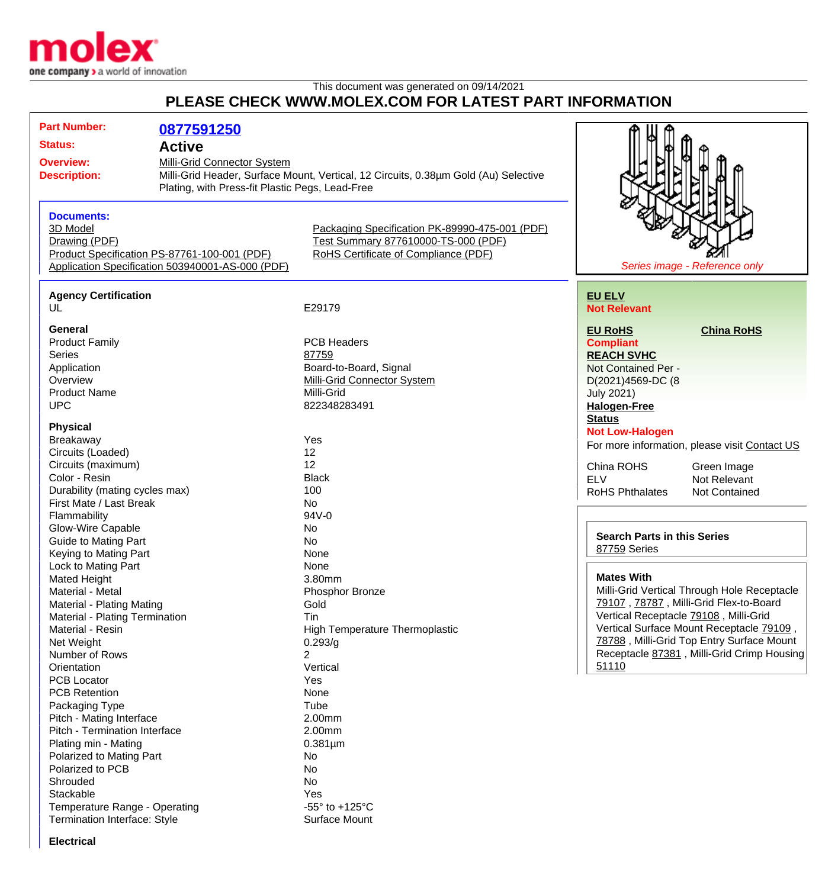

## This document was generated on 09/14/2021 **PLEASE CHECK WWW.MOLEX.COM FOR LATEST PART INFORMATION**

| <b>Part Number:</b>                     | 0877591250                                       |                                                                                     |                                               |
|-----------------------------------------|--------------------------------------------------|-------------------------------------------------------------------------------------|-----------------------------------------------|
| <b>Status:</b>                          | <b>Active</b>                                    |                                                                                     |                                               |
| Milli-Grid Connector System             |                                                  |                                                                                     |                                               |
| <b>Overview:</b><br><b>Description:</b> |                                                  | Milli-Grid Header, Surface Mount, Vertical, 12 Circuits, 0.38um Gold (Au) Selective |                                               |
|                                         |                                                  | Plating, with Press-fit Plastic Pegs, Lead-Free                                     |                                               |
|                                         |                                                  |                                                                                     |                                               |
| <b>Documents:</b>                       |                                                  |                                                                                     |                                               |
| 3D Model                                |                                                  | Packaging Specification PK-89990-475-001 (PDF)                                      |                                               |
| Drawing (PDF)                           |                                                  | Test Summary 877610000-TS-000 (PDF)                                                 |                                               |
|                                         | Product Specification PS-87761-100-001 (PDF)     | RoHS Certificate of Compliance (PDF)                                                |                                               |
|                                         | Application Specification 503940001-AS-000 (PDF) |                                                                                     | Series image - Reference only                 |
|                                         |                                                  |                                                                                     |                                               |
| <b>Agency Certification</b>             |                                                  |                                                                                     | <b>EU ELV</b>                                 |
| UL                                      |                                                  | E29179                                                                              | <b>Not Relevant</b>                           |
|                                         |                                                  |                                                                                     |                                               |
| General                                 |                                                  |                                                                                     | <b>EU RoHS</b><br><b>China RoHS</b>           |
| <b>Product Family</b>                   |                                                  | <b>PCB Headers</b>                                                                  | <b>Compliant</b>                              |
| <b>Series</b>                           |                                                  | 87759                                                                               | <b>REACH SVHC</b>                             |
| Application                             |                                                  | Board-to-Board, Signal                                                              | Not Contained Per -                           |
| Overview                                |                                                  | <b>Milli-Grid Connector System</b>                                                  | D(2021)4569-DC (8                             |
| <b>Product Name</b>                     |                                                  | Milli-Grid                                                                          | <b>July 2021)</b>                             |
| <b>UPC</b>                              |                                                  | 822348283491                                                                        | <b>Halogen-Free</b>                           |
|                                         |                                                  |                                                                                     | <b>Status</b>                                 |
| <b>Physical</b>                         |                                                  |                                                                                     | <b>Not Low-Halogen</b>                        |
| Breakaway                               |                                                  | Yes                                                                                 | For more information, please visit Contact US |
| Circuits (Loaded)                       |                                                  | 12                                                                                  |                                               |
| Circuits (maximum)                      |                                                  | 12                                                                                  | China ROHS<br>Green Image                     |
| Color - Resin                           |                                                  | <b>Black</b>                                                                        | <b>ELV</b><br>Not Relevant                    |
| Durability (mating cycles max)          |                                                  | 100                                                                                 | <b>RoHS Phthalates</b><br>Not Contained       |
| First Mate / Last Break                 |                                                  | No                                                                                  |                                               |
| Flammability                            |                                                  | 94V-0                                                                               |                                               |
| Glow-Wire Capable                       |                                                  | No                                                                                  | <b>Search Parts in this Series</b>            |
| <b>Guide to Mating Part</b>             |                                                  | <b>No</b>                                                                           | 87759 Series                                  |
| Keying to Mating Part                   |                                                  | None                                                                                |                                               |
| Lock to Mating Part                     |                                                  | None                                                                                |                                               |
| <b>Mated Height</b>                     |                                                  | 3.80mm                                                                              | <b>Mates With</b>                             |
| Material - Metal                        |                                                  | Phosphor Bronze                                                                     | Milli-Grid Vertical Through Hole Receptacle   |
| Material - Plating Mating               |                                                  | Gold                                                                                | 79107, 78787, Milli-Grid Flex-to-Board        |
| Material - Plating Termination          |                                                  | Tin                                                                                 | Vertical Receptacle 79108, Milli-Grid         |
| Material - Resin                        |                                                  | High Temperature Thermoplastic                                                      | Vertical Surface Mount Receptacle 79109,      |
| Net Weight                              |                                                  | 0.293/g                                                                             | 78788, Milli-Grid Top Entry Surface Mount     |
| Number of Rows                          |                                                  | 2                                                                                   | Receptacle 87381, Milli-Grid Crimp Housing    |
| Orientation                             |                                                  | Vertical                                                                            | 51110                                         |
| <b>PCB Locator</b>                      |                                                  | Yes                                                                                 |                                               |
| <b>PCB Retention</b>                    |                                                  | None                                                                                |                                               |
| Packaging Type                          |                                                  | Tube                                                                                |                                               |
| Pitch - Mating Interface                |                                                  | 2.00mm                                                                              |                                               |
| Pitch - Termination Interface           |                                                  | 2.00mm                                                                              |                                               |
| Plating min - Mating                    |                                                  | $0.381 \mu m$                                                                       |                                               |
| Polarized to Mating Part                |                                                  | No                                                                                  |                                               |
| Polarized to PCB                        |                                                  | No                                                                                  |                                               |
| Shrouded                                |                                                  | No                                                                                  |                                               |
| Stackable                               |                                                  | Yes                                                                                 |                                               |
| Temperature Range - Operating           |                                                  | -55 $\degree$ to +125 $\degree$ C                                                   |                                               |
| Termination Interface: Style            |                                                  | Surface Mount                                                                       |                                               |

**Electrical**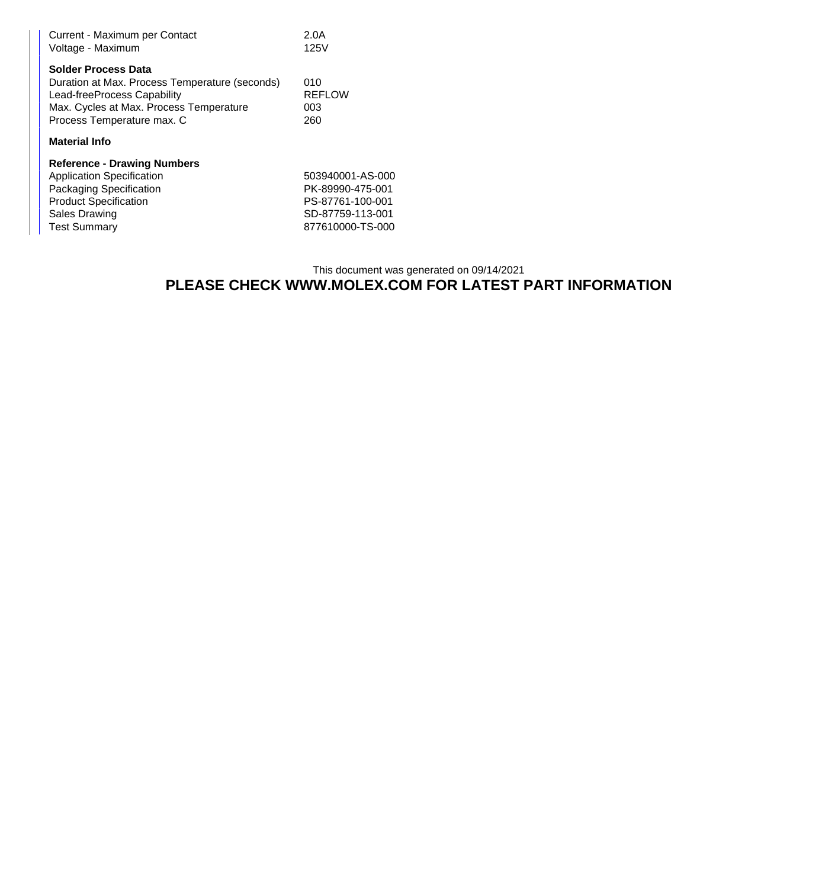| Current - Maximum per Contact<br>Voltage - Maximum                                                                                                                                   | 2.0A<br>125V                       |  |  |  |
|--------------------------------------------------------------------------------------------------------------------------------------------------------------------------------------|------------------------------------|--|--|--|
| <b>Solder Process Data</b><br>Duration at Max. Process Temperature (seconds)<br>Lead-freeProcess Capability<br>Max. Cycles at Max. Process Temperature<br>Process Temperature max. C | 010<br><b>REFLOW</b><br>003<br>260 |  |  |  |
| <b>Material Info</b>                                                                                                                                                                 |                                    |  |  |  |
| <b>Reference - Drawing Numbers</b>                                                                                                                                                   |                                    |  |  |  |
| <b>Application Specification</b>                                                                                                                                                     | 503940001-AS-000                   |  |  |  |
| Packaging Specification                                                                                                                                                              | PK-89990-475-001                   |  |  |  |
| <b>Product Specification</b>                                                                                                                                                         | PS-87761-100-001                   |  |  |  |
| Sales Drawing                                                                                                                                                                        | SD-87759-113-001                   |  |  |  |

Test Summary 877610000-TS-000

## This document was generated on 09/14/2021 **PLEASE CHECK WWW.MOLEX.COM FOR LATEST PART INFORMATION**